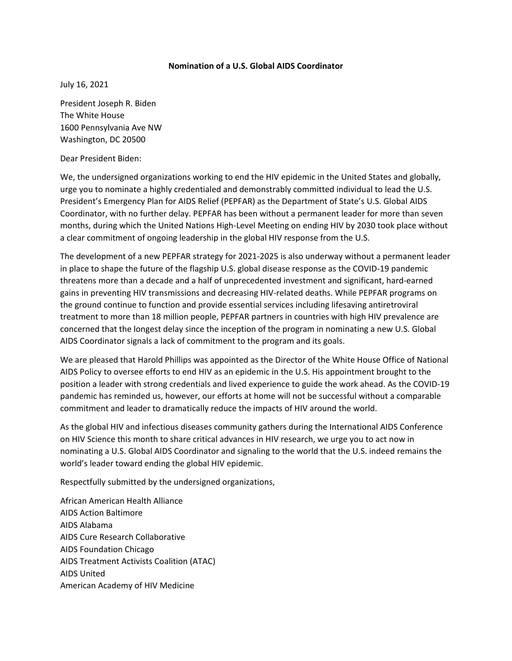## **Nomination of a U.S. Global AIDS Coordinator**

July 16, 2021

President Joseph R. Biden The White House 1600 Pennsylvania Ave NW Washington, DC 20500

Dear President Biden:

We, the undersigned organizations working to end the HIV epidemic in the United States and globally, urge you to nominate a highly credentialed and demonstrably committed individual to lead the U.S. President's Emergency Plan for AIDS Relief (PEPFAR) as the Department of State's U.S. Global AIDS Coordinator, with no further delay. PEPFAR has been without a permanent leader for more than seven months, during which the United Nations High-Level Meeting on ending HIV by 2030 took place without a clear commitment of ongoing leadership in the global HIV response from the U.S.

The development of a new PEPFAR strategy for 2021-2025 is also underway without a permanent leader in place to shape the future of the flagship U.S. global disease response as the COVID-19 pandemic threatens more than a decade and a half of unprecedented investment and significant, hard-earned gains in preventing HIV transmissions and decreasing HIV-related deaths. While PEPFAR programs on the ground continue to function and provide essential services including lifesaving antiretroviral treatment to more than 18 million people, PEPFAR partners in countries with high HIV prevalence are concerned that the longest delay since the inception of the program in nominating a new U.S. Global AIDS Coordinator signals a lack of commitment to the program and its goals.

We are pleased that Harold Phillips was appointed as the Director of the White House Office of National AIDS Policy to oversee efforts to end HIV as an epidemic in the U.S. His appointment brought to the position a leader with strong credentials and lived experience to guide the work ahead. As the COVID-19 pandemic has reminded us, however, our efforts at home will not be successful without a comparable commitment and leader to dramatically reduce the impacts of HIV around the world.

As the global HIV and infectious diseases community gathers during the International AIDS Conference on HIV Science this month to share critical advances in HIV research, we urge you to act now in nominating a U.S. Global AIDS Coordinator and signaling to the world that the U.S. indeed remains the world's leader toward ending the global HIV epidemic.

Respectfully submitted by the undersigned organizations,

African American Health Alliance AIDS Action Baltimore AIDS Alabama AIDS Cure Research Collaborative AIDS Foundation Chicago AIDS Treatment Activists Coalition (ATAC) AIDS United American Academy of HIV Medicine